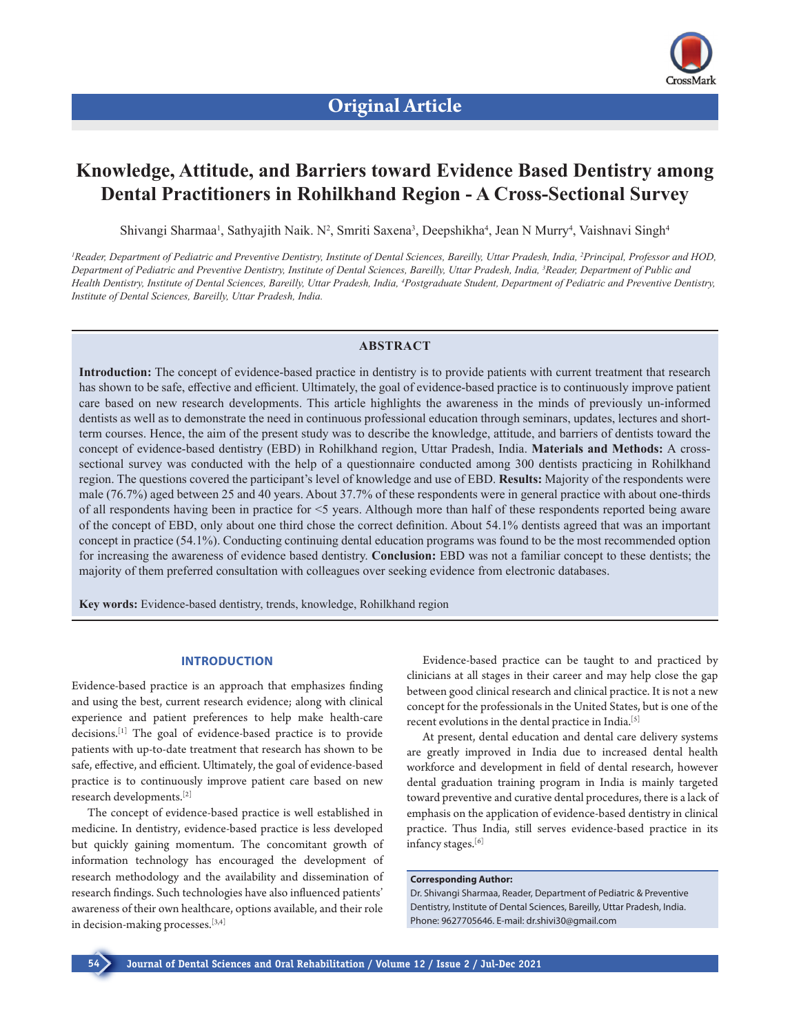

# **Knowledge, Attitude, and Barriers toward Evidence Based Dentistry among Dental Practitioners in Rohilkhand Region - A Cross-Sectional Survey**

Shivangi Sharmaa<sup>1</sup>, Sathyajith Naik. N<sup>2</sup>, Smriti Saxena<sup>3</sup>, Deepshikha<sup>4</sup>, Jean N Murry<sup>4</sup>, Vaishnavi Singh<sup>4</sup>

<sup>1</sup> Reader, Department of Pediatric and Preventive Dentistry, Institute of Dental Sciences, Bareilly, Uttar Pradesh, India, <sup>2</sup>Principal, Professor and HOD, *Department of Pediatric and Preventive Dentistry, Institute of Dental Sciences, Bareilly, Uttar Pradesh, India, 3 Reader, Department of Public and Health Dentistry, Institute of Dental Sciences, Bareilly, Uttar Pradesh, India, 4 Postgraduate Student, Department of Pediatric and Preventive Dentistry, Institute of Dental Sciences, Bareilly, Uttar Pradesh, India.*

# **ABSTRACT**

**Introduction:** The concept of evidence-based practice in dentistry is to provide patients with current treatment that research has shown to be safe, effective and efficient. Ultimately, the goal of evidence-based practice is to continuously improve patient care based on new research developments. This article highlights the awareness in the minds of previously un-informed dentists as well as to demonstrate the need in continuous professional education through seminars, updates, lectures and shortterm courses. Hence, the aim of the present study was to describe the knowledge, attitude, and barriers of dentists toward the concept of evidence-based dentistry (EBD) in Rohilkhand region, Uttar Pradesh, India. **Materials and Methods:** A crosssectional survey was conducted with the help of a questionnaire conducted among 300 dentists practicing in Rohilkhand region. The questions covered the participant's level of knowledge and use of EBD. **Results:** Majority of the respondents were male (76.7%) aged between 25 and 40 years. About 37.7% of these respondents were in general practice with about one-thirds of all respondents having been in practice for <5 years. Although more than half of these respondents reported being aware of the concept of EBD, only about one third chose the correct definition. About 54.1% dentists agreed that was an important concept in practice (54.1%). Conducting continuing dental education programs was found to be the most recommended option for increasing the awareness of evidence based dentistry. **Conclusion:** EBD was not a familiar concept to these dentists; the majority of them preferred consultation with colleagues over seeking evidence from electronic databases.

**Key words:** Evidence-based dentistry, trends, knowledge, Rohilkhand region

# **INTRODUCTION**

Evidence-based practice is an approach that emphasizes finding and using the best, current research evidence; along with clinical experience and patient preferences to help make health-care decisions.[1] The goal of evidence-based practice is to provide patients with up-to-date treatment that research has shown to be safe, effective, and efficient. Ultimately, the goal of evidence-based practice is to continuously improve patient care based on new research developments.[2]

The concept of evidence-based practice is well established in medicine. In dentistry, evidence-based practice is less developed but quickly gaining momentum. The concomitant growth of information technology has encouraged the development of research methodology and the availability and dissemination of research findings. Such technologies have also influenced patients' awareness of their own healthcare, options available, and their role in decision-making processes.[3,4]

Evidence-based practice can be taught to and practiced by clinicians at all stages in their career and may help close the gap between good clinical research and clinical practice. It is not a new concept for the professionals in the United States, but is one of the recent evolutions in the dental practice in India.<sup>[5]</sup>

At present, dental education and dental care delivery systems are greatly improved in India due to increased dental health workforce and development in field of dental research, however dental graduation training program in India is mainly targeted toward preventive and curative dental procedures, there is a lack of emphasis on the application of evidence-based dentistry in clinical practice. Thus India, still serves evidence-based practice in its infancy stages.[6]

#### **Corresponding Author:**

Dr. Shivangi Sharmaa, Reader, Department of Pediatric & Preventive Dentistry, Institute of Dental Sciences, Bareilly, Uttar Pradesh, India. Phone: 9627705646. E-mail: dr.shivi30@gmail.com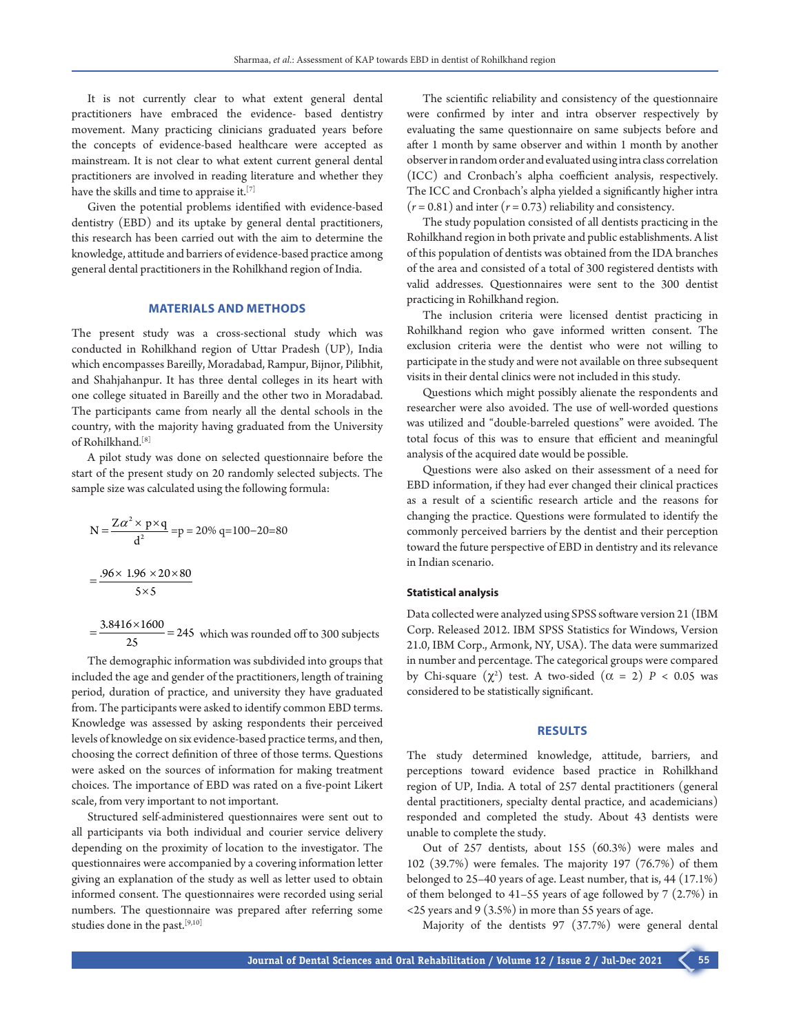It is not currently clear to what extent general dental practitioners have embraced the evidence- based dentistry movement. Many practicing clinicians graduated years before the concepts of evidence-based healthcare were accepted as mainstream. It is not clear to what extent current general dental practitioners are involved in reading literature and whether they have the skills and time to appraise it.<sup>[7]</sup>

Given the potential problems identified with evidence-based dentistry (EBD) and its uptake by general dental practitioners, this research has been carried out with the aim to determine the knowledge, attitude and barriers of evidence-based practice among general dental practitioners in the Rohilkhand region of India.

# **MATERIALS AND METHODS**

The present study was a cross-sectional study which was conducted in Rohilkhand region of Uttar Pradesh (UP), India which encompasses Bareilly, Moradabad, Rampur, Bijnor, Pilibhit, and Shahjahanpur. It has three dental colleges in its heart with one college situated in Bareilly and the other two in Moradabad. The participants came from nearly all the dental schools in the country, with the majority having graduated from the University of Rohilkhand.[8]

A pilot study was done on selected questionnaire before the start of the present study on 20 randomly selected subjects. The sample size was calculated using the following formula:

$$
N = \frac{Z\alpha^2 \times p \times q}{d^2} = p = 20\% q = 100 - 20 = 80
$$
  
= 
$$
\frac{.96 \times 1.96 \times 20 \times 80}{5 \times 5}
$$

 $=\frac{3.8416\times1600}{25}$  = 245 which was rounded off to 300 subjects

The demographic information was subdivided into groups that included the age and gender of the practitioners, length of training period, duration of practice, and university they have graduated from. The participants were asked to identify common EBD terms. Knowledge was assessed by asking respondents their perceived levels of knowledge on six evidence-based practice terms, and then, choosing the correct definition of three of those terms. Questions were asked on the sources of information for making treatment choices. The importance of EBD was rated on a five-point Likert scale, from very important to not important.

Structured self-administered questionnaires were sent out to all participants via both individual and courier service delivery depending on the proximity of location to the investigator. The questionnaires were accompanied by a covering information letter giving an explanation of the study as well as letter used to obtain informed consent. The questionnaires were recorded using serial numbers. The questionnaire was prepared after referring some studies done in the past.[9,10]

The scientific reliability and consistency of the questionnaire were confirmed by inter and intra observer respectively by evaluating the same questionnaire on same subjects before and after 1 month by same observer and within 1 month by another observer in random order and evaluated using intra class correlation (ICC) and Cronbach's alpha coefficient analysis, respectively. The ICC and Cronbach's alpha yielded a significantly higher intra  $(r = 0.81)$  and inter  $(r = 0.73)$  reliability and consistency.

The study population consisted of all dentists practicing in the Rohilkhand region in both private and public establishments. A list of this population of dentists was obtained from the IDA branches of the area and consisted of a total of 300 registered dentists with valid addresses. Questionnaires were sent to the 300 dentist practicing in Rohilkhand region.

The inclusion criteria were licensed dentist practicing in Rohilkhand region who gave informed written consent. The exclusion criteria were the dentist who were not willing to participate in the study and were not available on three subsequent visits in their dental clinics were not included in this study.

Questions which might possibly alienate the respondents and researcher were also avoided. The use of well-worded questions was utilized and "double-barreled questions" were avoided. The total focus of this was to ensure that efficient and meaningful analysis of the acquired date would be possible.

Questions were also asked on their assessment of a need for EBD information, if they had ever changed their clinical practices as a result of a scientific research article and the reasons for changing the practice. Questions were formulated to identify the commonly perceived barriers by the dentist and their perception toward the future perspective of EBD in dentistry and its relevance in Indian scenario.

#### **Statistical analysis**

Data collected were analyzed using SPSS software version 21 (IBM Corp. Released 2012. IBM SPSS Statistics for Windows, Version 21.0, IBM Corp., Armonk, NY, USA). The data were summarized in number and percentage. The categorical groups were compared by Chi-square  $(\chi^2)$  test. A two-sided  $(\alpha = 2)$   $P < 0.05$  was considered to be statistically significant.

# **RESULTS**

The study determined knowledge, attitude, barriers, and perceptions toward evidence based practice in Rohilkhand region of UP, India. A total of 257 dental practitioners (general dental practitioners, specialty dental practice, and academicians) responded and completed the study. About 43 dentists were unable to complete the study.

Out of 257 dentists, about 155 (60.3%) were males and 102 (39.7%) were females. The majority 197 (76.7%) of them belonged to 25–40 years of age. Least number, that is, 44 (17.1%) of them belonged to 41–55 years of age followed by 7 (2.7%) in <25 years and 9 (3.5%) in more than 55 years of age.

Majority of the dentists 97 (37.7%) were general dental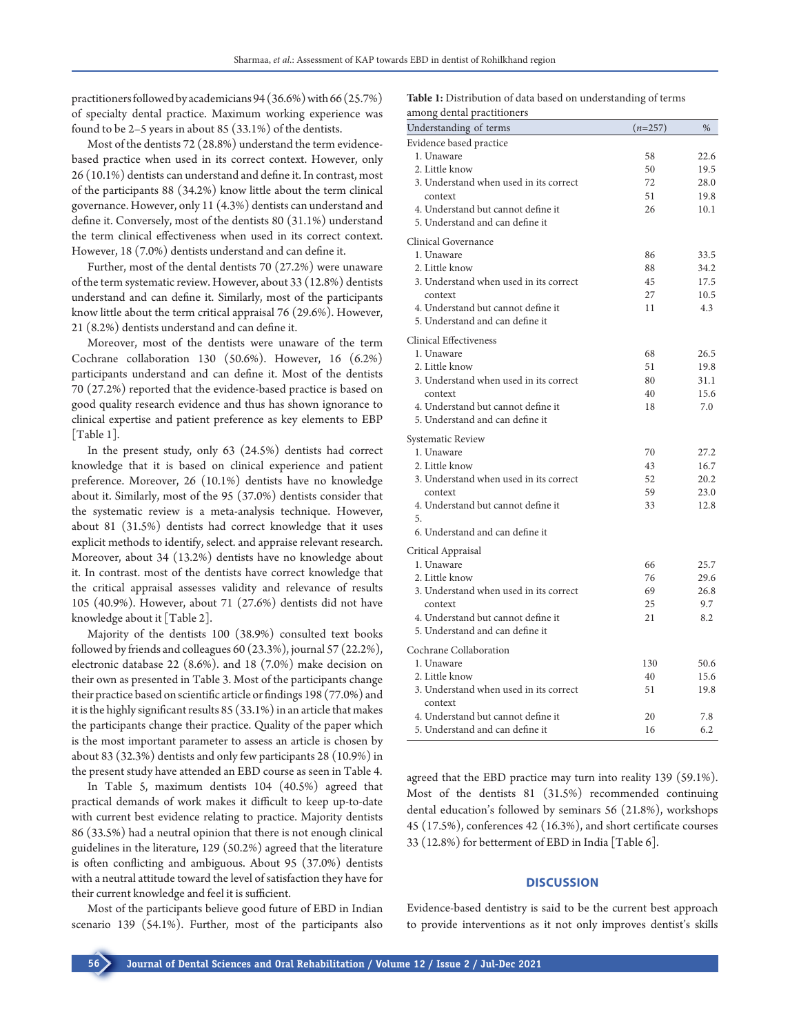practitioners followed by academicians 94(36.6%) with 66(25.7%) of specialty dental practice. Maximum working experience was found to be 2–5 years in about 85 (33.1%) of the dentists.

Most of the dentists 72 (28.8%) understand the term evidencebased practice when used in its correct context. However, only 26 (10.1%) dentists can understand and define it. In contrast, most of the participants 88 (34.2%) know little about the term clinical governance. However, only 11 (4.3%) dentists can understand and define it. Conversely, most of the dentists 80 (31.1%) understand the term clinical effectiveness when used in its correct context. However, 18 (7.0%) dentists understand and can define it.

Further, most of the dental dentists 70 (27.2%) were unaware of the term systematic review. However, about 33 (12.8%) dentists understand and can define it. Similarly, most of the participants know little about the term critical appraisal 76 (29.6%). However, 21 (8.2%) dentists understand and can define it.

Moreover, most of the dentists were unaware of the term Cochrane collaboration 130 (50.6%). However, 16 (6.2%) participants understand and can define it. Most of the dentists 70 (27.2%) reported that the evidence-based practice is based on good quality research evidence and thus has shown ignorance to clinical expertise and patient preference as key elements to EBP [Table 1].

In the present study, only 63 (24.5%) dentists had correct knowledge that it is based on clinical experience and patient preference. Moreover, 26 (10.1%) dentists have no knowledge about it. Similarly, most of the 95 (37.0%) dentists consider that the systematic review is a meta-analysis technique. However, about 81 (31.5%) dentists had correct knowledge that it uses explicit methods to identify, select. and appraise relevant research. Moreover, about 34 (13.2%) dentists have no knowledge about it. In contrast. most of the dentists have correct knowledge that the critical appraisal assesses validity and relevance of results 105 (40.9%). However, about 71 (27.6%) dentists did not have knowledge about it [Table 2].

Majority of the dentists 100 (38.9%) consulted text books followed by friends and colleagues 60 (23.3%), journal 57 (22.2%), electronic database 22 (8.6%). and 18 (7.0%) make decision on their own as presented in Table 3. Most of the participants change their practice based on scientific article or findings 198 (77.0%) and it is the highly significant results 85 (33.1%) in an article that makes the participants change their practice. Quality of the paper which is the most important parameter to assess an article is chosen by about 83 (32.3%) dentists and only few participants 28 (10.9%) in the present study have attended an EBD course as seen in Table 4.

In Table 5, maximum dentists 104 (40.5%) agreed that practical demands of work makes it difficult to keep up-to-date with current best evidence relating to practice. Majority dentists 86 (33.5%) had a neutral opinion that there is not enough clinical guidelines in the literature, 129 (50.2%) agreed that the literature is often conflicting and ambiguous. About 95 (37.0%) dentists with a neutral attitude toward the level of satisfaction they have for their current knowledge and feel it is sufficient.

Most of the participants believe good future of EBD in Indian scenario 139 (54.1%). Further, most of the participants also **Table 1:** Distribution of data based on understanding of terms among dental practitioners

| among ucmar practitioners              |           | $\%$         |
|----------------------------------------|-----------|--------------|
| Understanding of terms                 | $(n=257)$ |              |
| Evidence based practice                |           |              |
| 1. Unaware<br>2. Little know           | 58<br>50  | 22.6<br>19.5 |
| 3. Understand when used in its correct | 72        | 28.0         |
| context                                | 51        | 19.8         |
| 4. Understand but cannot define it     | 26        | 10.1         |
| 5. Understand and can define it        |           |              |
| Clinical Governance                    |           |              |
| 1. Unaware                             | 86        | 33.5         |
| 2. Little know                         | 88        | 34.2         |
| 3. Understand when used in its correct | 45        | 17.5         |
| context                                | 27        | 10.5         |
| 4. Understand but cannot define it     | 11        | 4.3          |
| 5. Understand and can define it        |           |              |
| <b>Clinical Effectiveness</b>          |           |              |
| 1. Unaware                             | 68        | 26.5         |
| 2. Little know                         | 51        | 19.8         |
| 3. Understand when used in its correct | 80        | 31.1         |
| context                                | 40        | 15.6         |
| 4. Understand but cannot define it     | 18        | 7.0          |
| 5. Understand and can define it        |           |              |
| Systematic Review                      |           |              |
| 1. Unaware                             | 70        | 27.2         |
| 2. Little know                         | 43        | 16.7         |
| 3. Understand when used in its correct | 52        | 20.2         |
| context                                | 59        | 23.0         |
| 4. Understand but cannot define it     | 33        | 12.8         |
| 5.<br>6. Understand and can define it  |           |              |
| Critical Appraisal                     |           |              |
| 1. Unaware                             | 66        | 25.7         |
| 2. Little know                         | 76        | 29.6         |
| 3. Understand when used in its correct | 69        | 26.8         |
| context                                | 25        | 9.7          |
| 4. Understand but cannot define it     | 21        | 8.2          |
| 5. Understand and can define it        |           |              |
| Cochrane Collaboration                 |           |              |
| 1. Unaware                             | 130       | 50.6         |
| 2. Little know                         | 40        | 15.6         |
| 3. Understand when used in its correct | 51        | 19.8         |
| context                                |           |              |
| 4. Understand but cannot define it     | 20        | 7.8          |
| 5. Understand and can define it        | 16        | 6.2          |

agreed that the EBD practice may turn into reality 139 (59.1%). Most of the dentists 81 (31.5%) recommended continuing dental education's followed by seminars 56 (21.8%), workshops 45 (17.5%), conferences 42 (16.3%), and short certificate courses 33 (12.8%) for betterment of EBD in India [Table 6].

#### **DISCUSSION**

Evidence-based dentistry is said to be the current best approach to provide interventions as it not only improves dentist's skills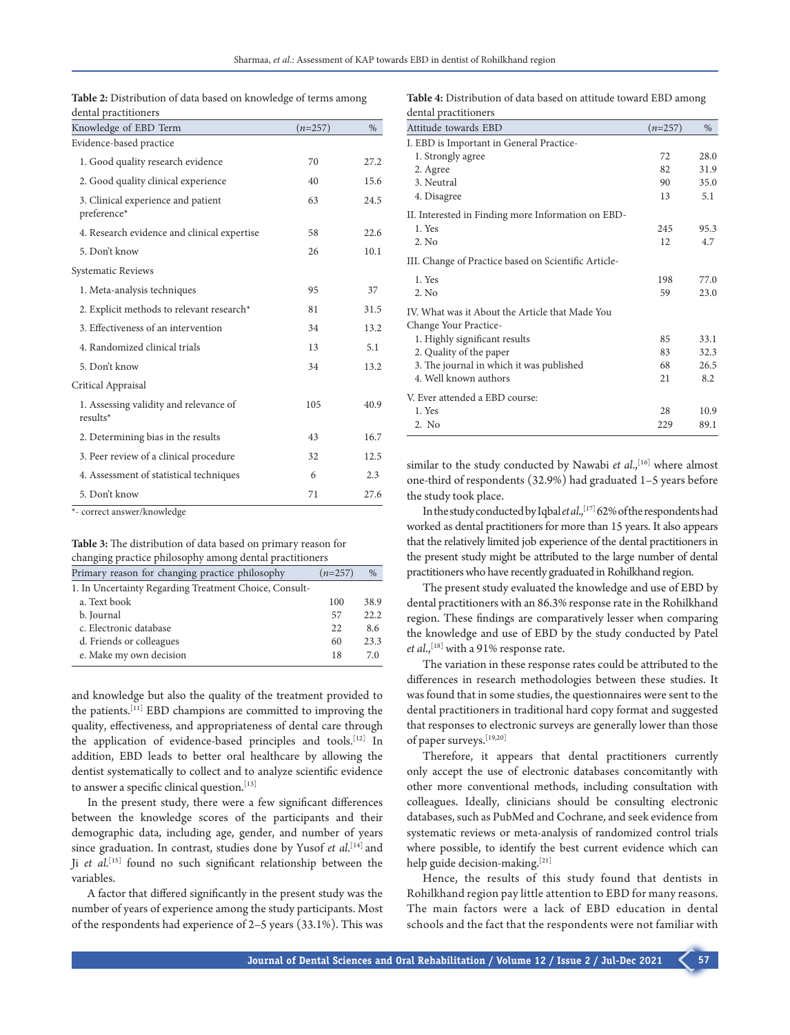| <b>Table 2:</b> Distribution of data based on knowledge of terms among |  |  |
|------------------------------------------------------------------------|--|--|
| dental practitioners                                                   |  |  |

| Knowledge of EBD Term                                | $(n=257)$ | $\frac{0}{0}$ |
|------------------------------------------------------|-----------|---------------|
| Evidence-based practice                              |           |               |
| 1. Good quality research evidence                    | 70        | 27.2          |
| 2. Good quality clinical experience                  | 40        | 15.6          |
| 3. Clinical experience and patient<br>preference*    | 63        | 24.5          |
| 4. Research evidence and clinical expertise          | 58        | 22.6          |
| 5. Don't know                                        | 26        | 10.1          |
| Systematic Reviews                                   |           |               |
| 1. Meta-analysis techniques                          | 95        | 37            |
| 2. Explicit methods to relevant research*            | 81        | 31.5          |
| 3. Effectiveness of an intervention                  | 34        | 13.2          |
| 4. Randomized clinical trials                        | 13        | 5.1           |
| 5. Don't know                                        | 34        | 13.2          |
| Critical Appraisal                                   |           |               |
| 1. Assessing validity and relevance of<br>$results*$ | 105       | 40.9          |
| 2. Determining bias in the results                   | 43        | 16.7          |
| 3. Peer review of a clinical procedure               | 32        | 12.5          |
| 4. Assessment of statistical techniques              | 6         | 2.3           |
| 5. Don't know                                        | 71        | 27.6          |

\*‑ correct answer/knowledge

### **Table 3:** The distribution of data based on primary reason for changing practice philosophy among dental practitioners

| Primary reason for changing practice philosophy        | $(n=257)$ | $\%$ |
|--------------------------------------------------------|-----------|------|
| 1. In Uncertainty Regarding Treatment Choice, Consult- |           |      |
| a. Text book                                           | 100       | 38.9 |
| b. Journal                                             | 57        | 22.2 |
| c. Electronic database                                 | 22        | 8.6  |
| d. Friends or colleagues                               | 60        | 23.3 |
| e. Make my own decision                                | 18        | 7.0  |

and knowledge but also the quality of the treatment provided to the patients.[11] EBD champions are committed to improving the quality, effectiveness, and appropriateness of dental care through the application of evidence-based principles and tools.[12] In addition, EBD leads to better oral healthcare by allowing the dentist systematically to collect and to analyze scientific evidence to answer a specific clinical question.<sup>[13]</sup>

In the present study, there were a few significant differences between the knowledge scores of the participants and their demographic data, including age, gender, and number of years since graduation. In contrast, studies done by Yusof *et al*. [14] and Ji *et al*. [15] found no such significant relationship between the variables.

A factor that differed significantly in the present study was the number of years of experience among the study participants. Most of the respondents had experience of 2–5 years (33.1%). This was

**Table 4:** Distribution of data based on attitude toward EBD among dental practitioners

| Attitude towards EBD                                                     | $(n=257)$ | $\%$ |
|--------------------------------------------------------------------------|-----------|------|
| I. EBD is Important in General Practice-                                 |           |      |
| 1. Strongly agree                                                        | 72        | 28.0 |
| 2. Agree                                                                 | 82        | 31.9 |
| 3. Neutral                                                               | 90        | 35.0 |
| 4. Disagree                                                              | 13        | 5.1  |
| II. Interested in Finding more Information on EBD-                       |           |      |
| 1. Yes                                                                   | 245       | 95.3 |
| 2. No                                                                    | 12        | 4.7  |
| III. Change of Practice based on Scientific Article-                     |           |      |
| 1. Yes                                                                   | 198       | 77.0 |
| 2. No                                                                    | 59        | 23.0 |
| IV. What was it About the Article that Made You<br>Change Your Practice- |           |      |
| 1. Highly significant results                                            | 85        | 33.1 |
| 2. Quality of the paper                                                  | 83        | 32.3 |
| 3. The journal in which it was published                                 | 68        | 26.5 |
| 4. Well known authors                                                    | 21        | 8.2  |
| V. Ever attended a EBD course:                                           |           |      |
| 1. Yes                                                                   | 28        | 10.9 |
| 2. No                                                                    | 229       | 89.1 |

similar to the study conducted by Nawabi et al.,<sup>[16]</sup> where almost one-third of respondents (32.9%) had graduated 1–5 years before the study took place.

In the study conducted by Iqbal *et al.*,<sup>[17]</sup> 62% of the respondents had worked as dental practitioners for more than 15 years. It also appears that the relatively limited job experience of the dental practitioners in the present study might be attributed to the large number of dental practitioners who have recently graduated in Rohilkhand region.

The present study evaluated the knowledge and use of EBD by dental practitioners with an 86.3% response rate in the Rohilkhand region. These findings are comparatively lesser when comparing the knowledge and use of EBD by the study conducted by Patel *et al.*,<sup>[18]</sup> with a 91% response rate.

The variation in these response rates could be attributed to the differences in research methodologies between these studies. It was found that in some studies, the questionnaires were sent to the dental practitioners in traditional hard copy format and suggested that responses to electronic surveys are generally lower than those of paper surveys.[19,20]

Therefore, it appears that dental practitioners currently only accept the use of electronic databases concomitantly with other more conventional methods, including consultation with colleagues. Ideally, clinicians should be consulting electronic databases, such as PubMed and Cochrane, and seek evidence from systematic reviews or meta-analysis of randomized control trials where possible, to identify the best current evidence which can help guide decision-making.<sup>[21]</sup>

Hence, the results of this study found that dentists in Rohilkhand region pay little attention to EBD for many reasons. The main factors were a lack of EBD education in dental schools and the fact that the respondents were not familiar with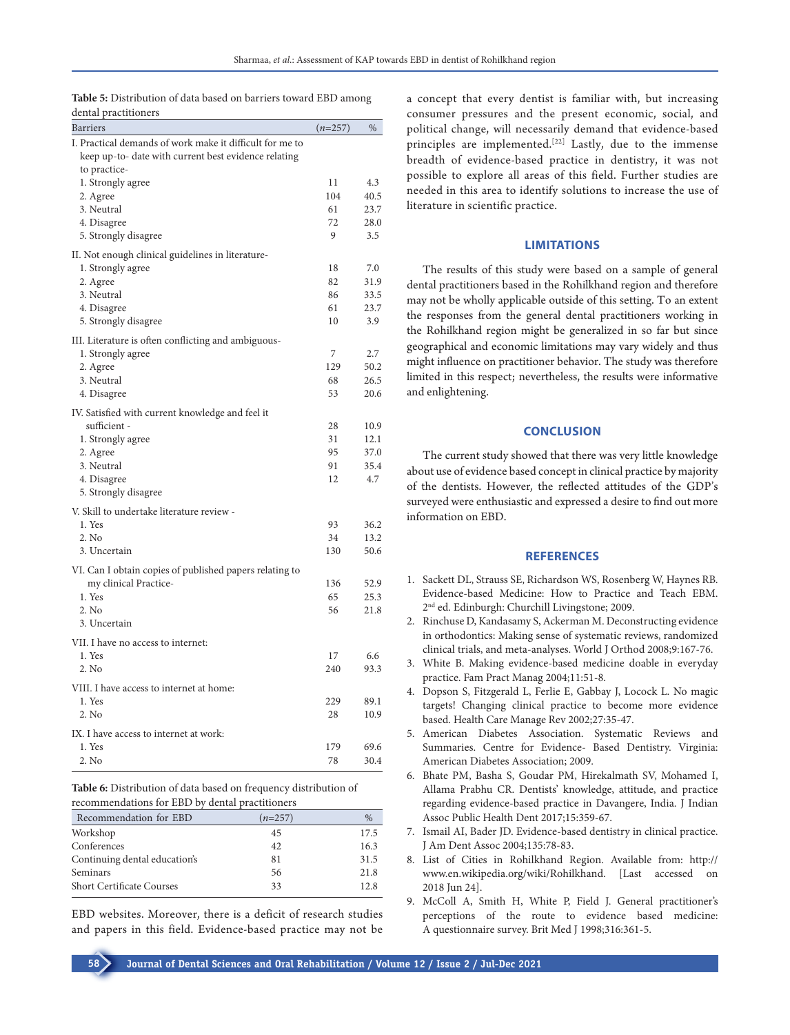**Table 5:** Distribution of data based on barriers toward EBD among dental practitioners

| I. Practical demands of work make it difficult for me to<br>keep up-to- date with current best evidence relating<br>to practice-<br>1. Strongly agree<br>11<br>104<br>2. Agree<br>3. Neutral<br>61<br>72<br>4. Disagree<br>9<br>5. Strongly disagree<br>II. Not enough clinical guidelines in literature-<br>1. Strongly agree<br>18<br>2. Agree<br>82<br>3. Neutral<br>86<br>4. Disagree<br>61<br>5. Strongly disagree<br>10<br>III. Literature is often conflicting and ambiguous-<br>7<br>1. Strongly agree<br>129<br>2. Agree<br>3. Neutral<br>68<br>53<br>4. Disagree | 4.3<br>40.5<br>23.7<br>28.0<br>3.5<br>7.0<br>31.9<br>33.5<br>23.7<br>3.9<br>2.7<br>50.2<br>26.5 |
|----------------------------------------------------------------------------------------------------------------------------------------------------------------------------------------------------------------------------------------------------------------------------------------------------------------------------------------------------------------------------------------------------------------------------------------------------------------------------------------------------------------------------------------------------------------------------|-------------------------------------------------------------------------------------------------|
|                                                                                                                                                                                                                                                                                                                                                                                                                                                                                                                                                                            |                                                                                                 |
|                                                                                                                                                                                                                                                                                                                                                                                                                                                                                                                                                                            |                                                                                                 |
|                                                                                                                                                                                                                                                                                                                                                                                                                                                                                                                                                                            |                                                                                                 |
|                                                                                                                                                                                                                                                                                                                                                                                                                                                                                                                                                                            |                                                                                                 |
|                                                                                                                                                                                                                                                                                                                                                                                                                                                                                                                                                                            |                                                                                                 |
|                                                                                                                                                                                                                                                                                                                                                                                                                                                                                                                                                                            |                                                                                                 |
|                                                                                                                                                                                                                                                                                                                                                                                                                                                                                                                                                                            |                                                                                                 |
|                                                                                                                                                                                                                                                                                                                                                                                                                                                                                                                                                                            |                                                                                                 |
|                                                                                                                                                                                                                                                                                                                                                                                                                                                                                                                                                                            |                                                                                                 |
|                                                                                                                                                                                                                                                                                                                                                                                                                                                                                                                                                                            |                                                                                                 |
|                                                                                                                                                                                                                                                                                                                                                                                                                                                                                                                                                                            |                                                                                                 |
|                                                                                                                                                                                                                                                                                                                                                                                                                                                                                                                                                                            |                                                                                                 |
|                                                                                                                                                                                                                                                                                                                                                                                                                                                                                                                                                                            |                                                                                                 |
|                                                                                                                                                                                                                                                                                                                                                                                                                                                                                                                                                                            |                                                                                                 |
|                                                                                                                                                                                                                                                                                                                                                                                                                                                                                                                                                                            |                                                                                                 |
|                                                                                                                                                                                                                                                                                                                                                                                                                                                                                                                                                                            |                                                                                                 |
|                                                                                                                                                                                                                                                                                                                                                                                                                                                                                                                                                                            |                                                                                                 |
|                                                                                                                                                                                                                                                                                                                                                                                                                                                                                                                                                                            | 20.6                                                                                            |
| IV. Satisfied with current knowledge and feel it                                                                                                                                                                                                                                                                                                                                                                                                                                                                                                                           |                                                                                                 |
| sufficient -<br>28                                                                                                                                                                                                                                                                                                                                                                                                                                                                                                                                                         | 10.9                                                                                            |
| 31<br>1. Strongly agree                                                                                                                                                                                                                                                                                                                                                                                                                                                                                                                                                    | 12.1                                                                                            |
| 95<br>2. Agree                                                                                                                                                                                                                                                                                                                                                                                                                                                                                                                                                             | 37.0                                                                                            |
| 91<br>3. Neutral                                                                                                                                                                                                                                                                                                                                                                                                                                                                                                                                                           | 35.4                                                                                            |
| 4. Disagree<br>12                                                                                                                                                                                                                                                                                                                                                                                                                                                                                                                                                          | 4.7                                                                                             |
| 5. Strongly disagree                                                                                                                                                                                                                                                                                                                                                                                                                                                                                                                                                       |                                                                                                 |
| V. Skill to undertake literature review -                                                                                                                                                                                                                                                                                                                                                                                                                                                                                                                                  |                                                                                                 |
| 1. Yes<br>93                                                                                                                                                                                                                                                                                                                                                                                                                                                                                                                                                               | 36.2                                                                                            |
| 2. No<br>34                                                                                                                                                                                                                                                                                                                                                                                                                                                                                                                                                                | 13.2                                                                                            |
| 3. Uncertain<br>130                                                                                                                                                                                                                                                                                                                                                                                                                                                                                                                                                        | 50.6                                                                                            |
| VI. Can I obtain copies of published papers relating to                                                                                                                                                                                                                                                                                                                                                                                                                                                                                                                    |                                                                                                 |
| my clinical Practice-<br>136                                                                                                                                                                                                                                                                                                                                                                                                                                                                                                                                               | 52.9                                                                                            |
| 1. Yes<br>65                                                                                                                                                                                                                                                                                                                                                                                                                                                                                                                                                               | 25.3                                                                                            |
| 2. No<br>56                                                                                                                                                                                                                                                                                                                                                                                                                                                                                                                                                                | 21.8                                                                                            |
| 3. Uncertain                                                                                                                                                                                                                                                                                                                                                                                                                                                                                                                                                               |                                                                                                 |
| VII. I have no access to internet:                                                                                                                                                                                                                                                                                                                                                                                                                                                                                                                                         |                                                                                                 |
| 1. Yes<br>17                                                                                                                                                                                                                                                                                                                                                                                                                                                                                                                                                               | 6.6                                                                                             |
| 2. No<br>240                                                                                                                                                                                                                                                                                                                                                                                                                                                                                                                                                               | 93.3                                                                                            |
| VIII. I have access to internet at home:                                                                                                                                                                                                                                                                                                                                                                                                                                                                                                                                   |                                                                                                 |
| 1. Yes<br>229                                                                                                                                                                                                                                                                                                                                                                                                                                                                                                                                                              | 89.1                                                                                            |
| 2. No<br>28                                                                                                                                                                                                                                                                                                                                                                                                                                                                                                                                                                | 10.9                                                                                            |
| IX. I have access to internet at work:                                                                                                                                                                                                                                                                                                                                                                                                                                                                                                                                     |                                                                                                 |
| 1. Yes<br>179                                                                                                                                                                                                                                                                                                                                                                                                                                                                                                                                                              | 69.6                                                                                            |
| 2. No<br>78                                                                                                                                                                                                                                                                                                                                                                                                                                                                                                                                                                | 30.4                                                                                            |

Table 6: Distribution of data based on frequency distribution of recommendations for EBD by dental practitioners

| Recommendation for EBD           | $(n=257)$ | $\%$ |
|----------------------------------|-----------|------|
| Workshop                         | 45        | 17.5 |
| Conferences                      | 42        | 16.3 |
| Continuing dental education's    | 81        | 31.5 |
| Seminars                         | 56        | 21.8 |
| <b>Short Certificate Courses</b> | 33        | 12.8 |

EBD websites. Moreover, there is a deficit of research studies and papers in this field. Evidence-based practice may not be a concept that every dentist is familiar with, but increasing consumer pressures and the present economic, social, and political change, will necessarily demand that evidence-based principles are implemented.[22] Lastly, due to the immense breadth of evidence-based practice in dentistry, it was not possible to explore all areas of this field. Further studies are needed in this area to identify solutions to increase the use of literature in scientific practice.

# **LIMITATIONS**

The results of this study were based on a sample of general dental practitioners based in the Rohilkhand region and therefore may not be wholly applicable outside of this setting. To an extent the responses from the general dental practitioners working in the Rohilkhand region might be generalized in so far but since geographical and economic limitations may vary widely and thus might influence on practitioner behavior. The study was therefore limited in this respect; nevertheless, the results were informative and enlightening.

#### **CONCLUSION**

The current study showed that there was very little knowledge about use of evidence based concept in clinical practice by majority of the dentists. However, the reflected attitudes of the GDP's surveyed were enthusiastic and expressed a desire to find out more information on EBD.

#### **REFERENCES**

- 1. Sackett DL, Strauss SE, Richardson WS, Rosenberg W, Haynes RB. Evidence-based Medicine: How to Practice and Teach EBM. 2nd ed. Edinburgh: Churchill Livingstone; 2009.
- 2. Rinchuse D, Kandasamy S, Ackerman M. Deconstructing evidence in orthodontics: Making sense of systematic reviews, randomized clinical trials, and meta-analyses. World J Orthod 2008;9:167-76.
- 3. White B. Making evidence-based medicine doable in everyday practice. Fam Pract Manag 2004;11:51-8.
- 4. Dopson S, Fitzgerald L, Ferlie E, Gabbay J, Locock L. No magic targets! Changing clinical practice to become more evidence based. Health Care Manage Rev 2002;27:35-47.
- 5. American Diabetes Association. Systematic Reviews and Summaries. Centre for Evidence- Based Dentistry. Virginia: American Diabetes Association; 2009.
- 6. Bhate PM, Basha S, Goudar PM, Hirekalmath SV, Mohamed I, Allama Prabhu CR. Dentists' knowledge, attitude, and practice regarding evidence-based practice in Davangere, India. J Indian Assoc Public Health Dent 2017;15:359-67.
- 7. Ismail AI, Bader JD. Evidence-based dentistry in clinical practice. J Am Dent Assoc 2004;135:78-83.
- 8. List of Cities in Rohilkhand Region. Available from: http:// www.en.wikipedia.org/wiki/Rohilkhand. [Last accessed on 2018 Jun 24].
- 9. McColl A, Smith H, White P, Field J. General practitioner's perceptions of the route to evidence based medicine: A questionnaire survey. Brit Med J 1998;316:361-5.